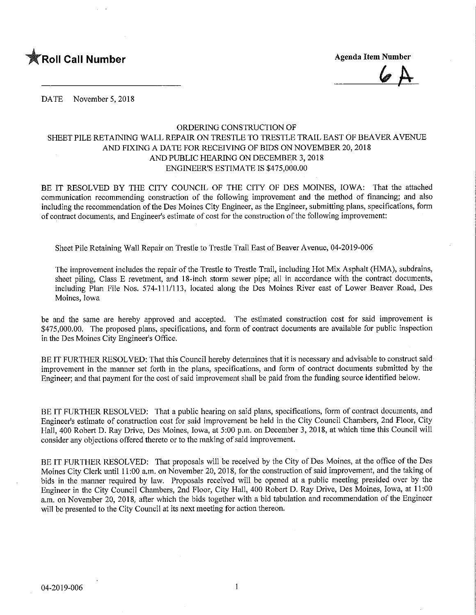

DATE November 5, 2018

## ORDERING CONSTRUCTION OF SHEET PILE RETAINING WALL REPAIR ON TRESTLE TO TRESTLE TRAIL EAST OF BEAVER AVENUE AND FIXING A DATE FOR RECEIVING OF BIDS ON NOVEMBER 20, 2018 AND PUBLIC HEARING ON DECEMBER 3,2018 ENGINEER'S ESTIMATE IS \$475,000.00

BE IT RESOLVED BY THE CITY COUNCIL OF THE CITY OF DES MOINES, IOWA: That the attached communication recommending construction of the following improvement and the method of financing; and also including the recommendation of the Des Moines City Engineer, as the Engineer, submitting plans, specifications, form of contract documents, and Engineer's estimate of cost for the construction of the following improvement:

Sheet Pile Retaining Wall Repair on Trestle to Trestle Trail East of Beaver Avenue, 04-2019-006

The improvement includes the repair of the Trestle to Trestle Trail, including Hot Mix Asphalt (HMA), subdrains, sheet piling, Class E revetment, and 18-inch storm sewer pipe; all in accordance with the contract documents, including Plan File Nos. 574-111/113, located along the Des Moines River east of Lower Beaver Road, Des Moines, Iowa

be and the same are hereby approved and accepted. The estimated construction cost for said improvement is \$475,000.00. The proposed plans, specifications, and form of contract documents are available for public inspection in the Des Moines City Engineer's Office.

BE IT FURTHER RESOLVED: That this Council hereby determines that it is necessary and advisable to construct said improvement in the manner set forth in the plans, specifications, and form of contract documents submitted by the Engineer; and that payment for the cost of said improvement shall be paid from the funding source identified below.

BE IT FURTHER RESOLVED: That a public hearing on said plans, specifications, form of contract documents, and Engineer's estimate of construction cost for said improvement be held in the City Council Chambers, 2nd Floor, City Hall, 400 Robert D. Ray Drive, Des Moines, Iowa, at 5:00 p.m. on December 3, 2018, at which time this Council will consider any objections offered thereto or to the making of said improvement.

BE IT FURTHER RESOLVED: That proposals will be received by the City of Des Moines, at the office of the Des Moines City Clerk until 11:00 a,m. on November 20, 2018, for the construction of said improvement, and the taking of bids in the manner required by law. Proposals received will be opened at a public meeting presided over by the Engineer in the City Council Chambers, 2nd Floor, City Hall, 400 Robert D. Ray Drive, Des Moines, Iowa, at 11:00 a.m. on November 20, 2018, after which the bids together with a bid tabulation and recommendation of the Engineer will be presented to the City Council at its next meeting for action thereon.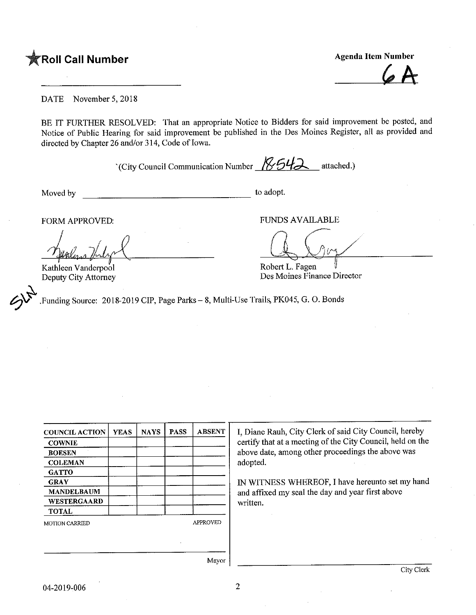**The Second Call Number Agenda Item Number** Agenda Item Number

DATE November 5,2018

BE IT FURTHER RESOLVED: That an appropriate Notice to Bidders for said improvement be posted, and Notice of Public Hearing for said improvement be published in the Des Moines Register, all as provided and directed by Chapter 26 and/or 314, Code of Iowa.

(City Council Communication Number  $\sqrt{8542}$  attached.)

 $\hat{z}$ 

Moved by to adopt.

FORM APPROVED: THE PUNDS AVAILABLE

Kathleen Vanderpool Deputy City Attorney

Robert L. Fagen Des Moines Finance Director

 $\zeta$ Funding Source: 2018-2019 CIP, Page Parks - 8, Multi-Use Trails, PK045, G. O. Bonds

| <b>COWNIE</b>         |  | <b>NAYS</b> | <b>PASS</b> | <b>ABSENT</b>   |  |
|-----------------------|--|-------------|-------------|-----------------|--|
|                       |  |             |             |                 |  |
| <b>BOESEN</b>         |  |             |             |                 |  |
| <b>COLEMAN</b>        |  |             |             |                 |  |
| <b>GATTO</b>          |  |             |             |                 |  |
| <b>GRAY</b>           |  |             |             |                 |  |
| <b>MANDELBAUM</b>     |  |             |             |                 |  |
| WESTERGAARD           |  |             |             |                 |  |
| <b>TOTAL</b>          |  |             |             |                 |  |
| <b>MOTION CARRIED</b> |  |             |             | <b>APPROVED</b> |  |

I, Diane Rauh, City Clerk of said City Council, hereby certify that at a meeting of the City Council, held on the above date, among other proceedings the above was adopted.

IN WITNESS WHEREOF, I have hereunto set my hand and affixed my seal the day and year first above written.

Mayor